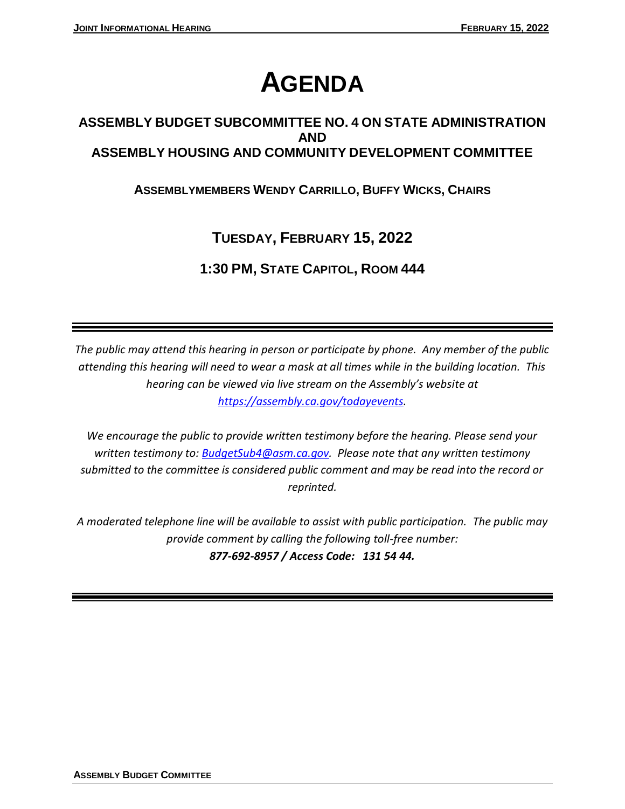# **AGENDA**

# **ASSEMBLY BUDGET SUBCOMMITTEE NO. 4 ON STATE ADMINISTRATION AND ASSEMBLY HOUSING AND COMMUNITY DEVELOPMENT COMMITTEE**

# **ASSEMBLYMEMBERS WENDY CARRILLO, BUFFY WICKS, CHAIRS**

# **TUESDAY, FEBRUARY 15, 2022**

# **1:30 PM, STATE CAPITOL, ROOM 444**

*The public may attend this hearing in person or participate by phone. Any member of the public attending this hearing will need to wear a mask at all times while in the building location. This hearing can be viewed via live stream on the Assembly's website at [https://assembly.ca.gov/todayevents.](https://assembly.ca.gov/todayevents)*

*We encourage the public to provide written testimony before the hearing. Please send your written testimony to: [BudgetSub4@asm.ca.gov.](mailto:BudgetSub4@asm.ca.gov) Please note that any written testimony submitted to the committee is considered public comment and may be read into the record or reprinted.*

*A moderated telephone line will be available to assist with public participation. The public may provide comment by calling the following toll-free number: 877-692-8957 / Access Code: 131 54 44.*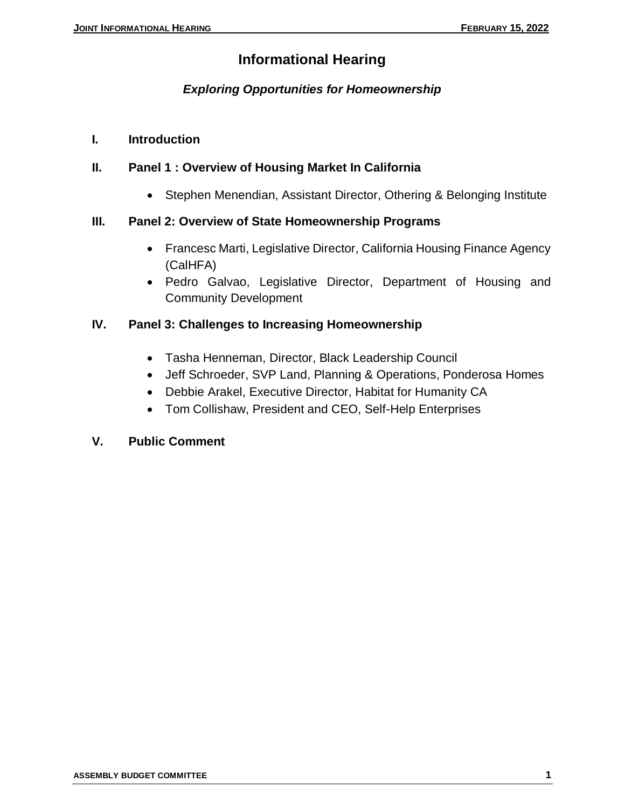# **Informational Hearing**

# *Exploring Opportunities for Homeownership*

**I. Introduction** 

## **II. Panel 1 : Overview of Housing Market In California**

• Stephen Menendian, Assistant Director, Othering & Belonging Institute

## **III. Panel 2: Overview of State Homeownership Programs**

- Francesc Marti, Legislative Director, California Housing Finance Agency (CalHFA)
- Pedro Galvao, Legislative Director, Department of Housing and Community Development

## **IV. Panel 3: Challenges to Increasing Homeownership**

- Tasha Henneman, Director, Black Leadership Council
- Jeff Schroeder, SVP Land, Planning & Operations, Ponderosa Homes
- Debbie Arakel, Executive Director, Habitat for Humanity CA
- Tom Collishaw, President and CEO, Self-Help Enterprises

#### **V. Public Comment**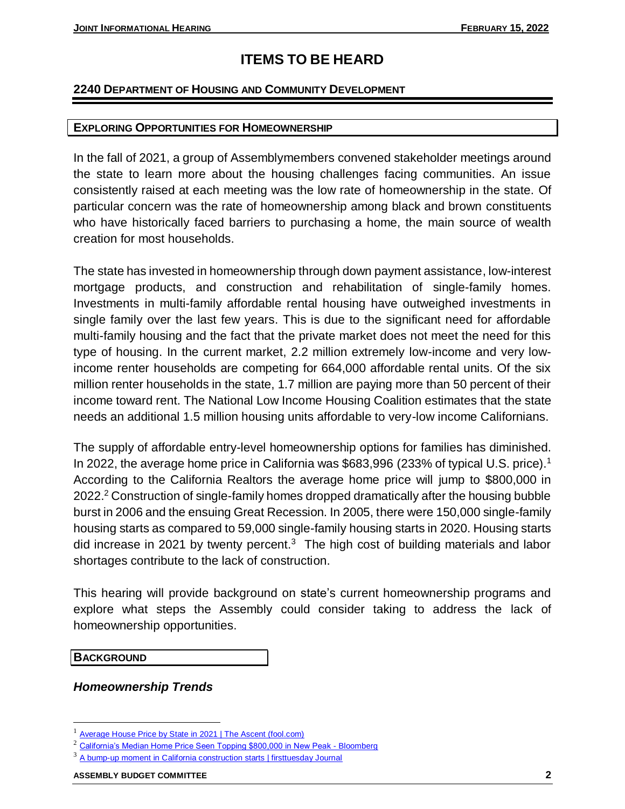# **ITEMS TO BE HEARD**

#### **2240 DEPARTMENT OF HOUSING AND COMMUNITY DEVELOPMENT**

#### **EXPLORING OPPORTUNITIES FOR HOMEOWNERSHIP**

In the fall of 2021, a group of Assemblymembers convened stakeholder meetings around the state to learn more about the housing challenges facing communities. An issue consistently raised at each meeting was the low rate of homeownership in the state. Of particular concern was the rate of homeownership among black and brown constituents who have historically faced barriers to purchasing a home, the main source of wealth creation for most households.

The state has invested in homeownership through down payment assistance, low-interest mortgage products, and construction and rehabilitation of single-family homes. Investments in multi-family affordable rental housing have outweighed investments in single family over the last few years. This is due to the significant need for affordable multi-family housing and the fact that the private market does not meet the need for this type of housing. In the current market, 2.2 million extremely low-income and very lowincome renter households are competing for 664,000 affordable rental units. Of the six million renter households in the state, 1.7 million are paying more than 50 percent of their income toward rent. The National Low Income Housing Coalition estimates that the state needs an additional 1.5 million housing units affordable to very-low income Californians.

The supply of affordable entry-level homeownership options for families has diminished. In 2022, the average home price in California was \$683,996 (233% of typical U.S. price).<sup>1</sup> According to the California Realtors the average home price will jump to \$800,000 in 2022.<sup>2</sup> Construction of single-family homes dropped dramatically after the housing bubble burst in 2006 and the ensuing Great Recession. In 2005, there were 150,000 single-family housing starts as compared to 59,000 single-family housing starts in 2020. Housing starts did increase in 2021 by twenty percent. $3$  The high cost of building materials and labor shortages contribute to the lack of construction.

This hearing will provide background on state's current homeownership programs and explore what steps the Assembly could consider taking to address the lack of homeownership opportunities.

**BACKGROUND**

 $\overline{\phantom{a}}$ 

*Homeownership Trends*

<sup>1</sup> [Average House Price by State in](https://www.fool.com/the-ascent/research/average-house-price-state/#:~:text=Typical%20home%20price%20in%20California%3A%20%24683%2C996%20%28233%25%20of,of%20the%20hardest%20places%20to%20afford%20a%20home.) 2021 | The Ascent (fool.com)

<sup>&</sup>lt;sup>2</sup> [California's Median Home Price Seen Topping \\$800,000 in New Peak -](https://www.bloomberg.com/news/articles/2021-10-07/california-s-median-home-price-seen-topping-800-000-in-new-peak) Bloomberg

<sup>&</sup>lt;sup>3</sup> [A bump-up moment in California construction starts | firsttuesday Journal](https://journal.firsttuesday.us/the-rising-trend-in-california-construction-starts/17939/#:~:text=1%204%20million%20total%20housing%20units%20existed%20in,California%20in%20March%202021.%20...%20More%20items...%20)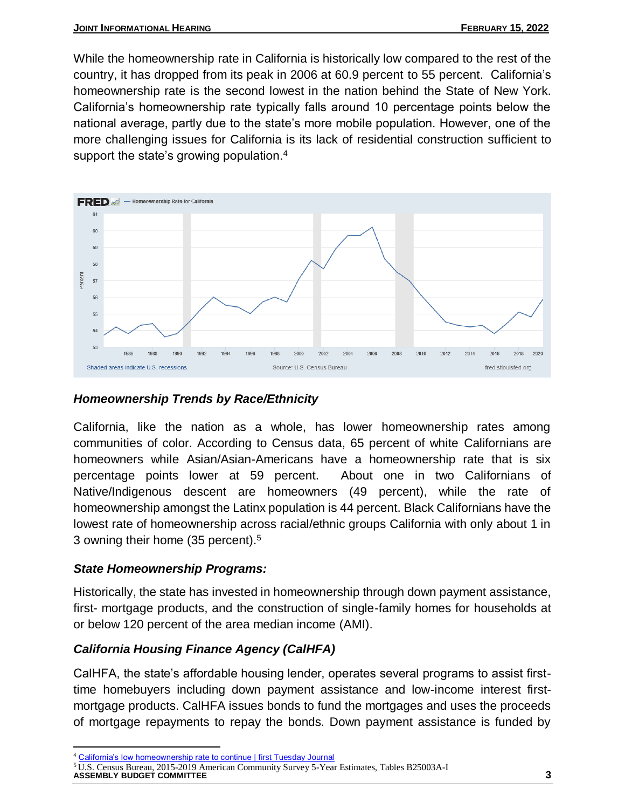While the homeownership rate in California is historically low compared to the rest of the country, it has dropped from its peak in 2006 at 60.9 percent to 55 percent. California's homeownership rate is the second lowest in the nation behind the State of New York. California's homeownership rate typically falls around 10 percentage points below the national average, partly due to the state's more mobile population. However, one of the more challenging issues for California is its lack of residential construction sufficient to support the state's growing population. $4$ 



# *Homeownership Trends by Race/Ethnicity*

California, like the nation as a whole, has lower homeownership rates among communities of color. According to Census data, 65 percent of white Californians are homeowners while Asian/Asian-Americans have a homeownership rate that is six percentage points lower at 59 percent. About one in two Californians of Native/Indigenous descent are homeowners (49 percent), while the rate of homeownership amongst the Latinx population is 44 percent. Black Californians have the lowest rate of homeownership across racial/ethnic groups California with only about 1 in 3 owning their home (35 percent).<sup>5</sup>

## *State Homeownership Programs:*

Historically, the state has invested in homeownership through down payment assistance, first- mortgage products, and the construction of single-family homes for households at or below 120 percent of the area median income (AMI).

# *California Housing Finance Agency (CalHFA)*

CalHFA, the state's affordable housing lender, operates several programs to assist firsttime homebuyers including down payment assistance and low-income interest firstmortgage products. CalHFA issues bonds to fund the mortgages and uses the proceeds of mortgage repayments to repay the bonds. Down payment assistance is funded by

 $\overline{a}$ <sup>4</sup> [California's low homeownership rate to continue | first Tuesday](https://journal.firsttuesday.us/californias-rate-of-homeownership-2/30161/#:~:text=California%E2%80%99s%20homeownership%20rate%20typically%20falls%20around%2010%20percentage,construction%20sufficient%20to%20support%20the%20state%E2%80%99s%20ever-growing%20population.) Journal

**ASSEMBLY BUDGET COMMITTEE 3** <sup>5</sup> U.S. Census Bureau, 2015-2019 American Community Survey 5-Year Estimates, Tables B25003A-I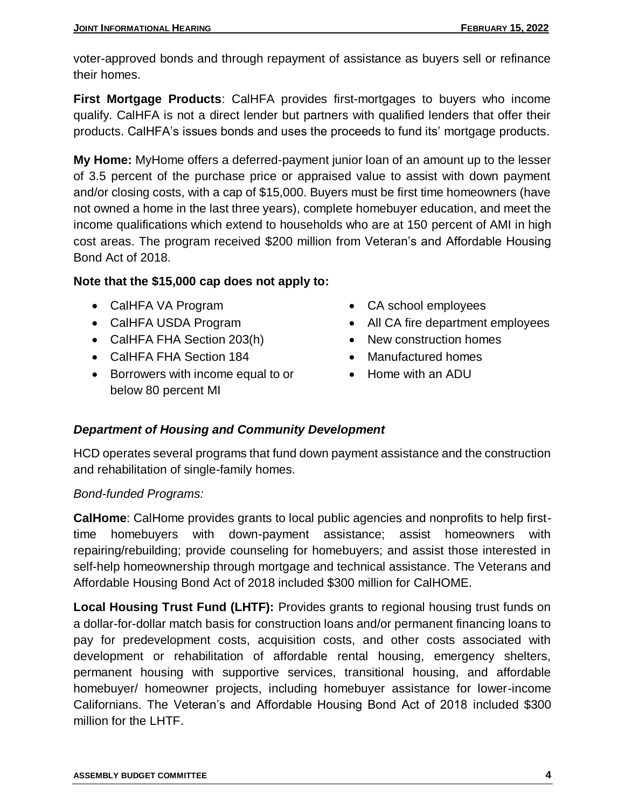voter-approved bonds and through repayment of assistance as buyers sell or refinance their homes.

**First Mortgage Products**: CalHFA provides first-mortgages to buyers who income qualify. CalHFA is not a direct lender but partners with qualified lenders that offer their products. CalHFA's issues bonds and uses the proceeds to fund its' mortgage products.

**My Home:** MyHome offers a deferred-payment junior loan of an amount up to the lesser of 3.5 percent of the purchase price or appraised value to assist with down payment and/or closing costs, with a cap of \$15,000. Buyers must be first time homeowners (have not owned a home in the last three years), complete homebuyer education, and meet the income qualifications which extend to households who are at 150 percent of AMI in high cost areas. The program received \$200 million from Veteran's and Affordable Housing Bond Act of 2018.

# **Note that the \$15,000 cap does not apply to:**

- CalHFA VA Program
- CalHFA USDA Program
- CalHFA FHA Section 203(h)
- CalHFA FHA Section 184
- Borrowers with income equal to or below 80 percent MI
- CA school employees
- All CA fire department employees
- New construction homes
- Manufactured homes
- Home with an ADU

# *Department of Housing and Community Development*

HCD operates several programs that fund down payment assistance and the construction and rehabilitation of single-family homes.

# *Bond-funded Programs:*

**CalHome**: CalHome provides grants to local public agencies and nonprofits to help firsttime homebuyers with down-payment assistance; assist homeowners with repairing/rebuilding; provide counseling for homebuyers; and assist those interested in self-help homeownership through mortgage and technical assistance. The Veterans and Affordable Housing Bond Act of 2018 included \$300 million for CalHOME.

**Local Housing Trust Fund (LHTF):** Provides grants to regional housing trust funds on a dollar-for-dollar match basis for construction loans and/or permanent financing loans to pay for predevelopment costs, acquisition costs, and other costs associated with development or rehabilitation of affordable rental housing, emergency shelters, permanent housing with supportive services, transitional housing, and affordable homebuyer/ homeowner projects, including homebuyer assistance for lower-income Californians. The Veteran's and Affordable Housing Bond Act of 2018 included \$300 million for the LHTF.